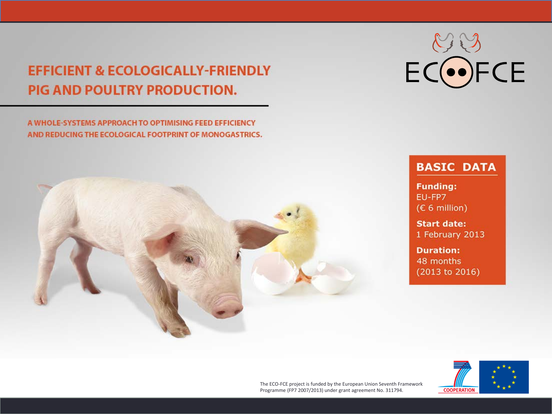#### **EFFICIENT & ECOLOGICALLY-FRIENDLY** PIG AND POULTRY PRODUCTION.

A WHOLE-SYSTEMS APPROACH TO OPTIMISING FEED EFFICIENCY AND REDUCING THE ECOLOGICAL FOOTPRINT OF MONOGASTRICS.



# ECOFCE

#### **BASIC DATA**

**Funding:** EU-FP7 (€ 6 million)

**Start date:** 1 February 2013

**Duration:** 48 months  $(2013 to 2016)$ 

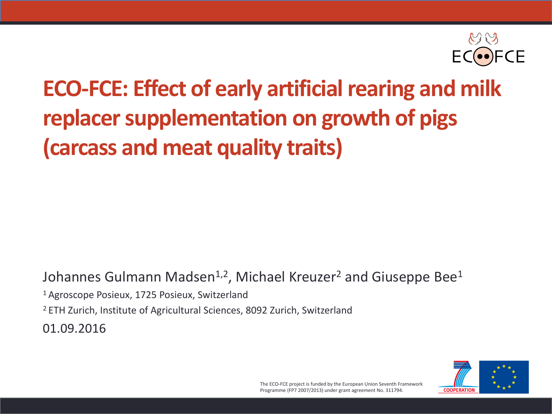

### **ECO-FCE: Effect of early artificial rearing and milk replacer supplementation on growth of pigs (carcass and meat quality traits)**

Johannes Gulmann Madsen<sup>1,2</sup>, Michael Kreuzer<sup>2</sup> and Giuseppe Bee<sup>1</sup>

1 Agroscope Posieux, 1725 Posieux, Switzerland

<sup>2</sup> ETH Zurich, Institute of Agricultural Sciences, 8092 Zurich, Switzerland

01.09.2016

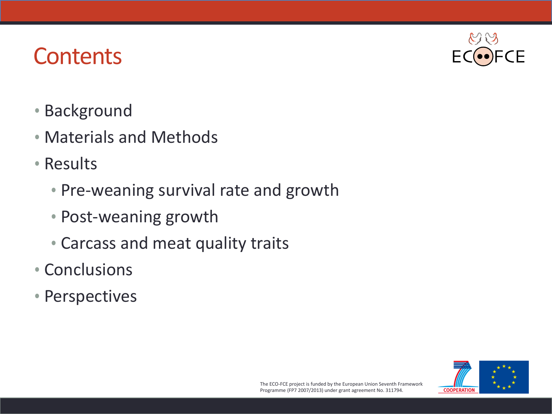#### **Contents**

- Background
- Materials and Methods
- Results
	- Pre-weaning survival rate and growth
	- Post-weaning growth
	- Carcass and meat quality traits
- Conclusions
- Perspectives



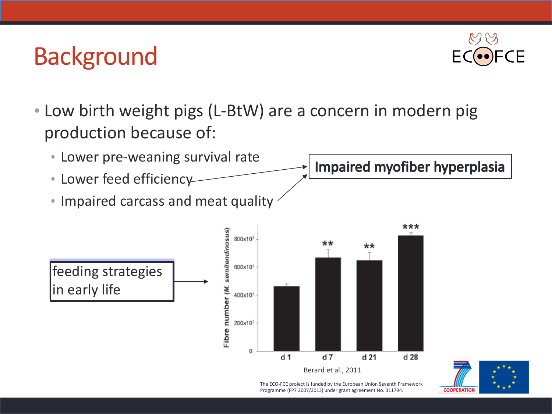### **Background**



• Low birth weight pigs (L-BtW) are a concern in modern pig production because of:





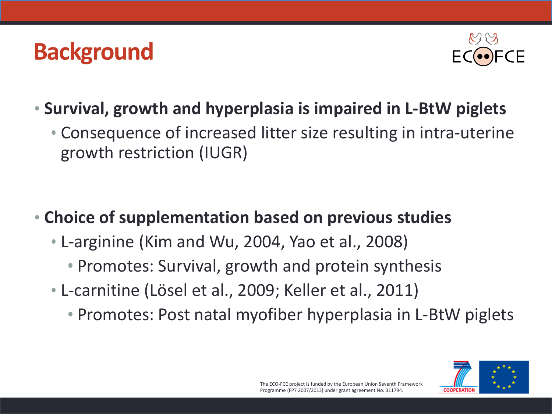### **Background**



- **Survival, growth and hyperplasia is impaired in L-BtW piglets**
	- Consequence of increased litter size resulting in intra-uterine growth restriction (IUGR)

- **Choice of supplementation based on previous studies**
	- L-arginine (Kim and Wu, 2004, Yao et al., 2008)
		- Promotes: Survival, growth and protein synthesis
	- L-carnitine (Lösel et al., 2009; Keller et al., 2011)
		- Promotes: Post natal myofiber hyperplasia in L-BtW piglets

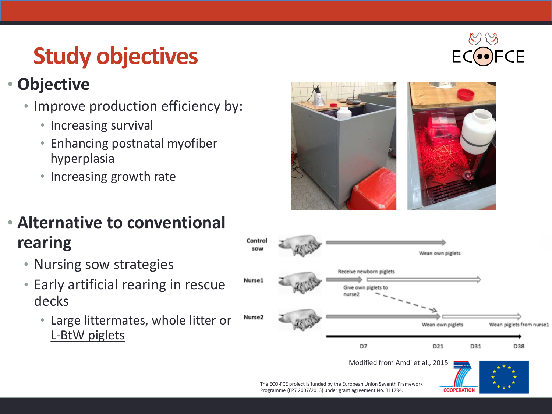### **Study objectives**

#### • **Objective**

- Improve production efficiency by:
	- Increasing survival
	- Enhancing postnatal myofiber hyperplasia
	- Increasing growth rate



#### • **Alternative to conventional rearing**

- Nursing sow strategies
- Early artificial rearing in rescue decks
	- Large littermates, whole litter or L-BtW piglets



**COOPERATION** 

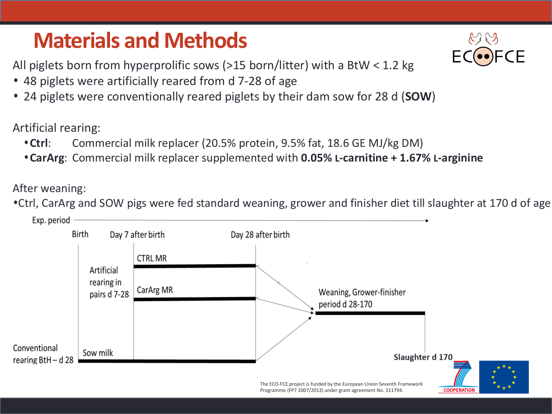#### **Materials and Methods**

All piglets born from hyperprolific sows (>15 born/litter) with a BtW < 1.2 kg

- 48 piglets were artificially reared from d 7-28 of age
- 24 piglets were conventionally reared piglets by their dam sow for 28 d (**SOW**)

Artificial rearing:

- **Ctrl**: Commercial milk replacer (20.5% protein, 9.5% fat, 18.6 GE MJ/kg DM)
- **CarArg**: Commercial milk replacer supplemented with **0.05% L-carnitine + 1.67% L-arginine**

After weaning:

•Ctrl, CarArg and SOW pigs were fed standard weaning, grower and finisher diet till slaughter at 170 d of age

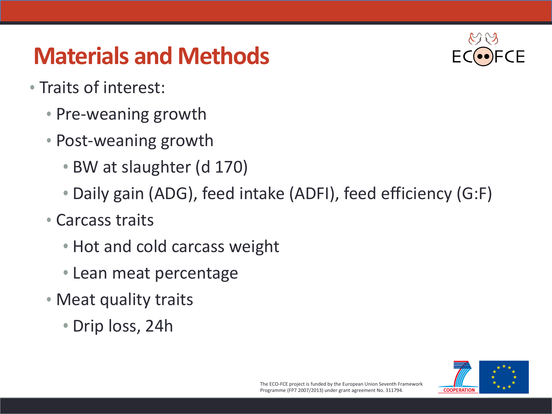### **Materials and Methods**



- Traits of interest:
	- Pre-weaning growth
	- Post-weaning growth
		- BW at slaughter (d 170)
		- Daily gain (ADG), feed intake (ADFI), feed efficiency (G:F)
	- Carcass traits
		- Hot and cold carcass weight
		- Lean meat percentage
	- Meat quality traits
		- Drip loss, 24h

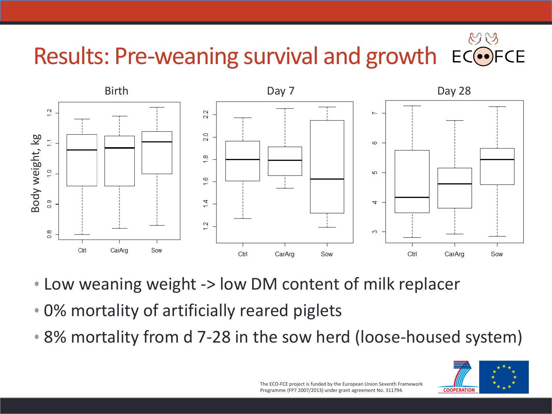#### $\heartsuit$ Results: Pre-weaning survival and growth  $EC$ FCE



- Low weaning weight -> low DM content of milk replacer
- 0% mortality of artificially reared piglets
- 

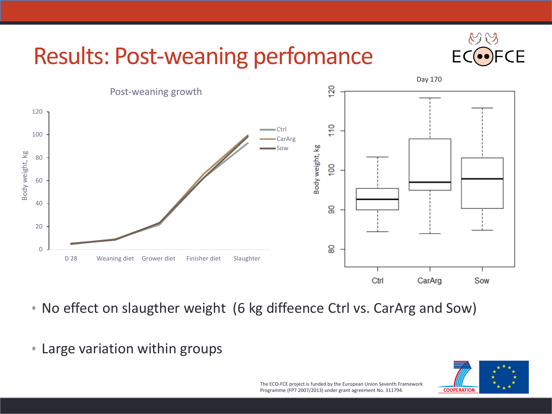### Results: Post-weaning perfomance





• No effect on slaugther weight (6 kg diffeence Ctrl vs. CarArg and Sow)

• Large variation within groups

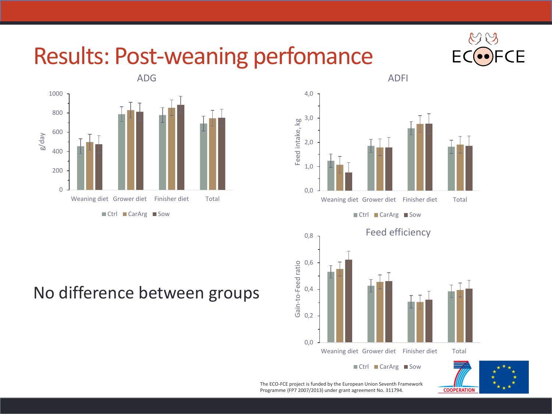#### Results: Post-weaning perfomance







ADFI

■ Ctrl ■ CarArg ■ Sow



 $\blacksquare$  Ctrl  $\blacksquare$  CarArg  $\blacksquare$  Sow



#### No difference between groups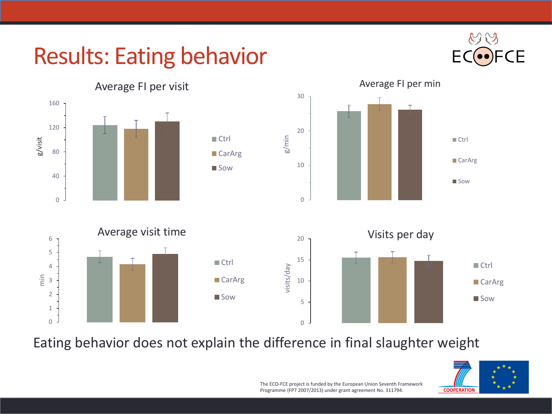### Results: Eating behavior





Eating behavior does not explain the difference in final slaughter weight

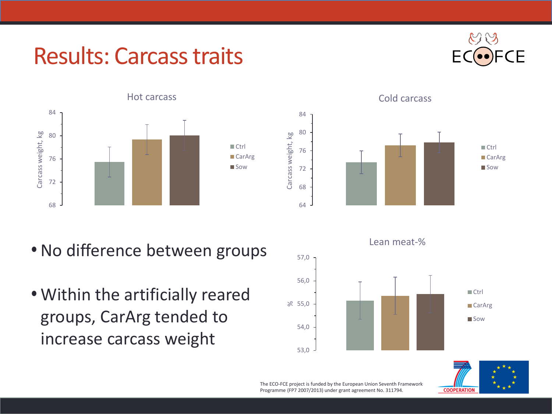#### Results: Carcass traits





- No difference between groups
- Within the artificially reared groups, CarArg tended to increase carcass weight



Cold carcass





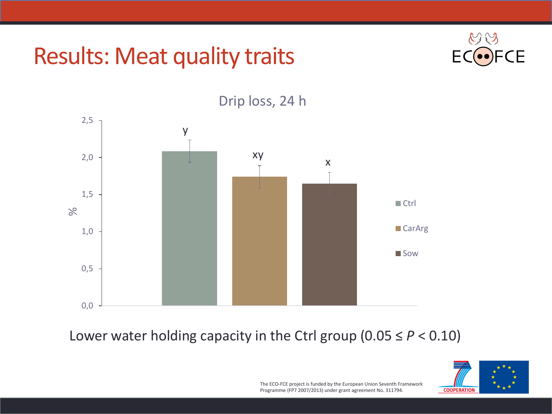#### Results: Meat quality traits





#### Drip loss, 24 h

#### Lower water holding capacity in the Ctrl group  $(0.05 \le P < 0.10)$

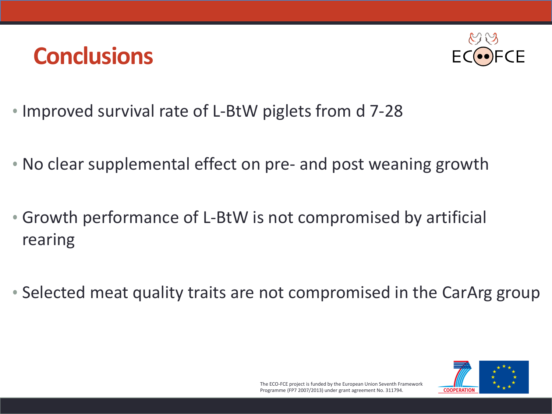#### **Conclusions**



- Improved survival rate of L-BtW piglets from d 7-28
- No clear supplemental effect on pre- and post weaning growth
- Growth performance of L-BtW is not compromised by artificial rearing
- Selected meat quality traits are not compromised in the CarArg group

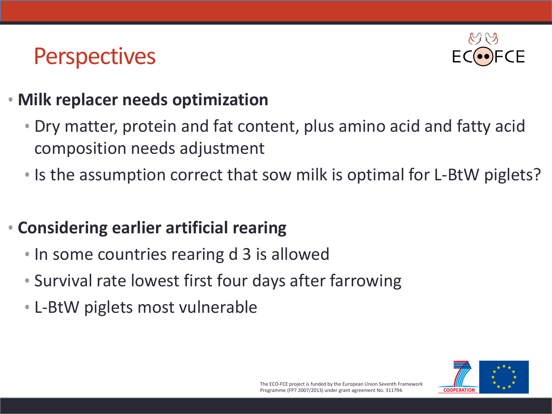#### **Perspectives**



#### • **Milk replacer needs optimization**

- Dry matter, protein and fat content, plus amino acid and fatty acid composition needs adjustment
- Is the assumption correct that sow milk is optimal for L-BtW piglets?

#### • **Considering earlier artificial rearing**

- In some countries rearing d 3 is allowed
- Survival rate lowest first four days after farrowing
- L-BtW piglets most vulnerable

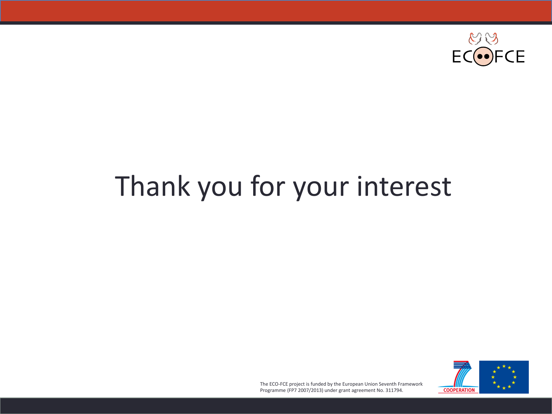

### Thank you for your interest

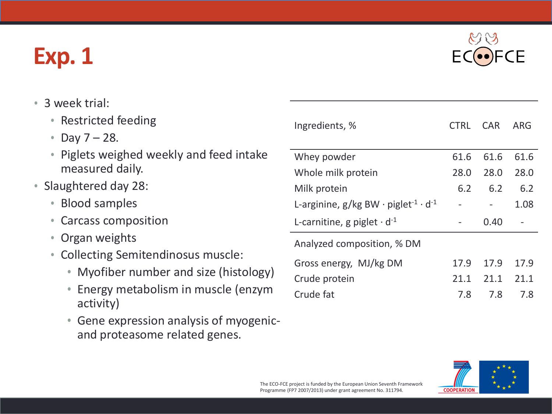### **Exp. 1**

ΓF

- 3 week trial:
	- Restricted feeding
	- Day  $7 28$ .
	- Piglets weighed weekly and feed intake measured daily.
- Slaughtered day 28:
	- Blood samples
	- Carcass composition
	- Organ weights
	- Collecting Semitendinosus muscle:
		- Myofiber number and size (histology)
		- Energy metabolism in muscle (enzym activity)
		- Gene expression analysis of myogenicand proteasome related genes.

| Ingredients, %                                                             | <b>CTRL</b> | <b>CAR</b> | ARG  |
|----------------------------------------------------------------------------|-------------|------------|------|
| Whey powder                                                                | 61.6        | 61.6       | 61.6 |
| Whole milk protein                                                         | 28.0        | 28.0       | 28.0 |
| Milk protein                                                               | 6.2         | 6.2        | 6.2  |
| L-arginine, $g/kg$ BW $\cdot$ piglet <sup>-1</sup> $\cdot$ d <sup>-1</sup> |             |            | 1.08 |
| L-carnitine, g piglet $\cdot$ d <sup>-1</sup>                              |             | 0.40       |      |
| Analyzed composition, % DM                                                 |             |            |      |
| Gross energy, MJ/kg DM                                                     | 17.9        | 17.9       | 17.9 |
| Crude protein                                                              | 21.1        | 21.1       | 21.1 |
| Crude fat                                                                  | 7.8         | 7.8        | 7.8  |

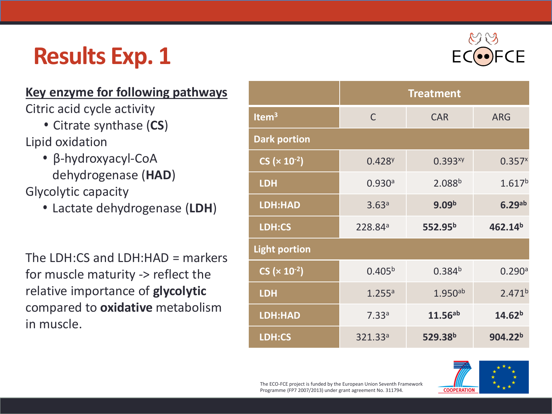### **Results Exp. 1**

#### **Key enzyme for following pathways**

Citric acid cycle activity

- Citrate synthase (**CS**)
- Lipid oxidation
- β-hydroxyacyl-CoA dehydrogenase (**HAD**) Glycolytic capacity
	- Lactate dehydrogenase (I

The LDH:CS and LDH:HAD =  $m$ for muscle maturity  $\rightarrow$  reflect relative importance of **glycolytic** compared to **oxidative** metabolism in muscle.

|               | <b>LDH</b>           | 0.930a              | 2.088 <sup>b</sup>  | 1.617 <sup>b</sup>  |
|---------------|----------------------|---------------------|---------------------|---------------------|
| LDH)          | <b>LDH:HAD</b>       | 3.63 <sup>a</sup>   | 9.09 <sup>b</sup>   | 6.29 <sup>ab</sup>  |
|               | LDH:CS               | 228.84 <sup>a</sup> | 552.95 <sup>b</sup> | 462.14 <sup>b</sup> |
| arkers<br>the | <b>Light portion</b> |                     |                     |                     |
|               | $CS (× 10-2)$        | 0.405 <sup>b</sup>  | 0.384 <sup>b</sup>  | 0.290a              |
|               |                      |                     |                     |                     |

**Dark portion**



**CS (** $\times$  **10<sup>-2</sup>) 0.428<sup>y</sup> 0.393<sup>xy</sup> 0.357<sup>x</sup>** 

**LDH** 1.255a 1.950ab 2.471b

**LDH:HAD** 7.33a **11.56ab 14.62b**

**LDH:CS** 321.33a **529.38b 904.22b**

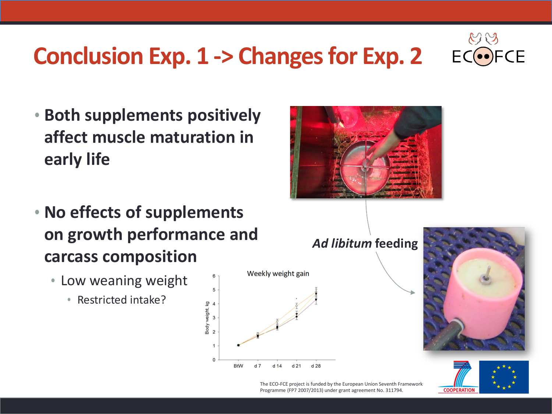## **CE**

### **Conclusion Exp. 1 -> Changes for Exp. 2**

• **Both supplements positively affect muscle maturation in early life**



- **No effects of supplements on growth performance and carcass composition**
	- Low weaning weight
		- Restricted intake?







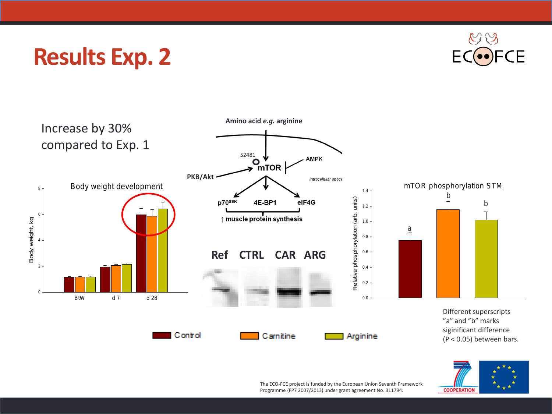#### **Results Exp. 2**





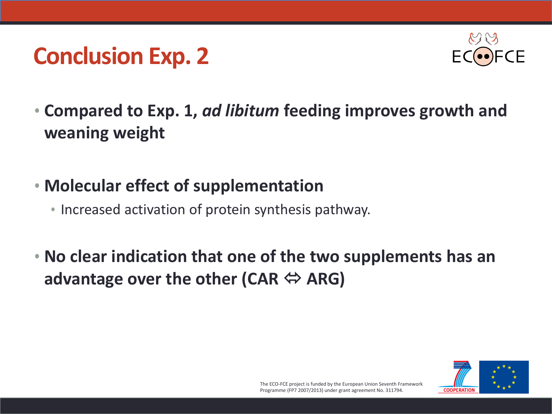#### **Conclusion Exp. 2**



- **Compared to Exp. 1,** *ad libitum* **feeding improves growth and weaning weight**
- **Molecular effect of supplementation**
	- Increased activation of protein synthesis pathway.
- **No clear indication that one of the two supplements has an advantage over the other (CAR ↔ ARG)**

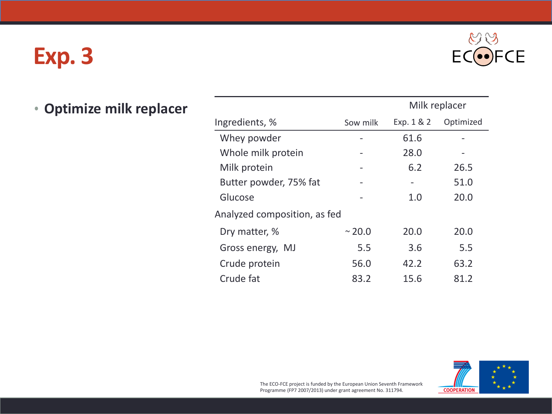### **Exp. 3**



| • Optimize milk replacer |                              |          |                          | Milk replacer            |  |
|--------------------------|------------------------------|----------|--------------------------|--------------------------|--|
|                          | Ingredients, %               | Sow milk | Exp. 1 & 2               | Optimized                |  |
|                          | Whey powder                  | -        | 61.6                     |                          |  |
|                          | Whole milk protein           | -        | 28.0                     | $\overline{\phantom{a}}$ |  |
|                          | Milk protein                 | -        | 6.2                      | 26.5                     |  |
|                          | Butter powder, 75% fat       | -        | $\overline{\phantom{a}}$ | 51.0                     |  |
|                          | Glucose                      | -        | 1.0                      | 20.0                     |  |
|                          | Analyzed composition, as fed |          |                          |                          |  |
|                          | Dry matter, %                | ~20.0    | 20.0                     | 20.0                     |  |
|                          | Gross energy, MJ             | 5.5      | 3.6                      | 5.5                      |  |
|                          | Crude protein                | 56.0     | 42.2                     | 63.2                     |  |
|                          | Crude fat                    | 83.2     | 15.6                     | 81.2                     |  |

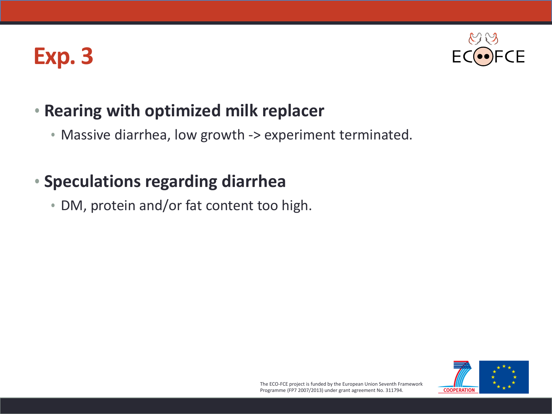### **Exp. 3**



#### • **Rearing with optimized milk replacer**

• Massive diarrhea, low growth -> experiment terminated.

#### • **Speculations regarding diarrhea**

• DM, protein and/or fat content too high.

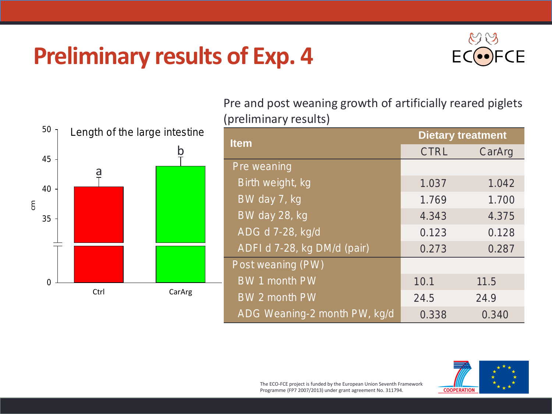### **Preliminary results of Exp. 4**





Pre and post weaning growth of artificially reared piglets (preliminary results)

| estine                  | <b>Item</b>                    | <b>Dietary treatment</b> |        |  |
|-------------------------|--------------------------------|--------------------------|--------|--|
| $\overline{\mathsf{b}}$ |                                | <b>CTRL</b>              | CarArg |  |
|                         | Pre weaning                    |                          |        |  |
|                         | Birth weight, kg               | 1.037                    | 1.042  |  |
|                         | BW day 7, kg                   | 1.769                    | 1.700  |  |
|                         | BW day 28, kg                  | 4.343                    | 4.375  |  |
|                         | ADG d 7-28, kg/d               | 0.123                    | 0.128  |  |
|                         | ADFI d 7-28, kg DM/d (pair)    | 0.273                    | 0.287  |  |
|                         | Post weaning (PW)              |                          |        |  |
|                         | <b>BW 1 month PW</b>           | 10.1                     | 11.5   |  |
| rArg                    | <b>BW<sub>2</sub></b> month PW | 24.5                     | 24.9   |  |
|                         | ADG Weaning-2 month PW, kg/d   | 0.338                    | 0.340  |  |